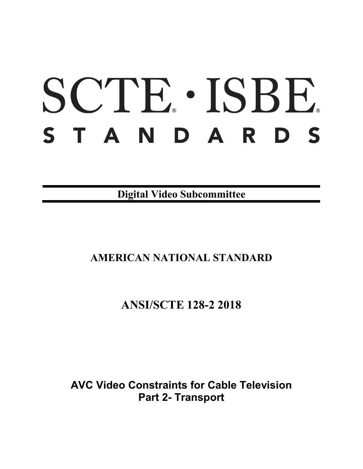# SCTE · ISBE. STANDARDS

**Digital Video Subcommittee**

## **AMERICAN NATIONAL STANDARD**

## **ANSI/SCTE 128-2 2018**

**AVC Video Constraints for Cable Television Part 2- Transport**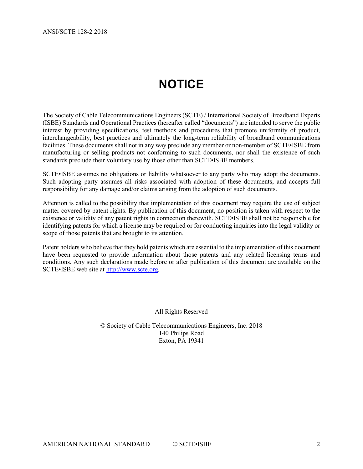# **NOTICE**

<span id="page-1-0"></span>The Society of Cable Telecommunications Engineers (SCTE) / International Society of Broadband Experts (ISBE) Standards and Operational Practices (hereafter called "documents") are intended to serve the public interest by providing specifications, test methods and procedures that promote uniformity of product, interchangeability, best practices and ultimately the long-term reliability of broadband communications facilities. These documents shall not in any way preclude any member or non-member of SCTE•ISBE from manufacturing or selling products not conforming to such documents, nor shall the existence of such standards preclude their voluntary use by those other than SCTE•ISBE members.

SCTE•ISBE assumes no obligations or liability whatsoever to any party who may adopt the documents. Such adopting party assumes all risks associated with adoption of these documents, and accepts full responsibility for any damage and/or claims arising from the adoption of such documents.

Attention is called to the possibility that implementation of this document may require the use of subject matter covered by patent rights. By publication of this document, no position is taken with respect to the existence or validity of any patent rights in connection therewith. SCTE•ISBE shall not be responsible for identifying patents for which a license may be required or for conducting inquiries into the legal validity or scope of those patents that are brought to its attention.

Patent holders who believe that they hold patents which are essential to the implementation of this document have been requested to provide information about those patents and any related licensing terms and conditions. Any such declarations made before or after publication of this document are available on the SCTE•ISBE web site at [http://www.scte.org.](http://www.scte.org/)

All Rights Reserved

© Society of Cable Telecommunications Engineers, Inc. 2018 140 Philips Road Exton, PA 19341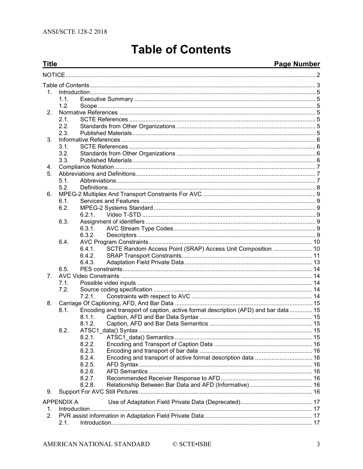# **Table of Contents**

#### Page Number

<span id="page-2-0"></span>

| <b>Title</b> |                   | <u> 1989 - Jan Salaman Salaman (j. 1989)</u>                                       | <b>Page Number</b> |
|--------------|-------------------|------------------------------------------------------------------------------------|--------------------|
|              |                   |                                                                                    |                    |
|              |                   |                                                                                    |                    |
| 1.           |                   |                                                                                    |                    |
|              | 1.1.              |                                                                                    |                    |
|              | 1.2 <sub>1</sub>  |                                                                                    |                    |
| 2.           |                   |                                                                                    |                    |
|              | 2.1.              |                                                                                    |                    |
|              | 2.2.              |                                                                                    |                    |
|              | 2.3.              |                                                                                    |                    |
| 3.           |                   |                                                                                    |                    |
|              | 3.1.              |                                                                                    |                    |
|              | 3.2.              |                                                                                    |                    |
|              | 3.3.              |                                                                                    |                    |
| 4.           |                   |                                                                                    |                    |
| 5.           |                   |                                                                                    |                    |
|              | 5.1.              |                                                                                    |                    |
|              | 5.2.              |                                                                                    |                    |
| 6.           |                   |                                                                                    |                    |
|              | 6.1.              |                                                                                    |                    |
|              | 6.2.              |                                                                                    |                    |
|              |                   | 6.2.1.                                                                             |                    |
|              | 6.3.              |                                                                                    |                    |
|              |                   | 6.3.1.                                                                             |                    |
|              |                   | 6.3.2.                                                                             |                    |
|              | 6.4.              |                                                                                    |                    |
|              |                   | SCTE Random Access Point (SRAP) Access Unit Composition  10<br>6.4.1.              |                    |
|              |                   | 6.4.2.                                                                             |                    |
|              |                   | 6.4.3.                                                                             |                    |
|              | 6.5.              |                                                                                    |                    |
| 7.           |                   |                                                                                    |                    |
|              | 7.1.              |                                                                                    |                    |
|              | 7.2.              |                                                                                    |                    |
|              |                   | 7.2.1.                                                                             |                    |
| 8.           |                   |                                                                                    |                    |
|              | 8.1.              | Encoding and transport of caption, active format description (AFD) and bar data 15 |                    |
|              |                   | 8.1.1.                                                                             |                    |
|              |                   |                                                                                    |                    |
|              | 8.2.              |                                                                                    |                    |
|              |                   | 8.2.1.                                                                             |                    |
|              |                   | 8.2.2.                                                                             |                    |
|              |                   | 8.2.3.                                                                             |                    |
|              |                   | 8.2.4.                                                                             |                    |
|              |                   | 8.2.5.                                                                             |                    |
|              |                   | 8.2.6.                                                                             |                    |
|              |                   | 8.2.7.                                                                             |                    |
|              |                   | 8.2.8.                                                                             |                    |
| 9.           |                   |                                                                                    |                    |
|              |                   |                                                                                    |                    |
|              | <b>APPENDIX A</b> |                                                                                    |                    |
| 1.           |                   |                                                                                    |                    |
| 2.           |                   |                                                                                    |                    |
|              | 2.1.              |                                                                                    |                    |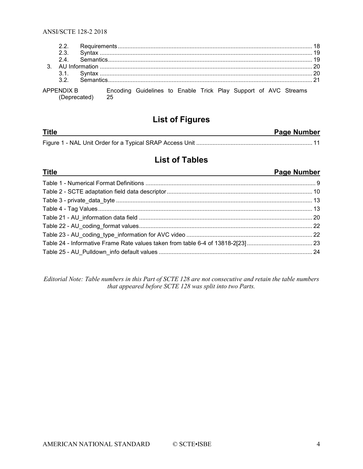| 22 |                 |                                                                            |  |  |  |  |  |
|----|-----------------|----------------------------------------------------------------------------|--|--|--|--|--|
|    |                 |                                                                            |  |  |  |  |  |
|    |                 |                                                                            |  |  |  |  |  |
|    |                 |                                                                            |  |  |  |  |  |
|    |                 |                                                                            |  |  |  |  |  |
|    |                 |                                                                            |  |  |  |  |  |
|    | (Deprecated) 25 | APPENDIX B Encoding Guidelines to Enable Trick Play Support of AVC Streams |  |  |  |  |  |

## **List of Figures**

| <b>Title</b> | Page Number |
|--------------|-------------|
|              |             |

## **List of Tables**

| <u>Title</u><br>and the control of the control of the control of the control of the control of the control of the control of the | Page Number |
|----------------------------------------------------------------------------------------------------------------------------------|-------------|
|                                                                                                                                  |             |
|                                                                                                                                  |             |
|                                                                                                                                  |             |
|                                                                                                                                  |             |
|                                                                                                                                  |             |
|                                                                                                                                  |             |
|                                                                                                                                  |             |
|                                                                                                                                  |             |
|                                                                                                                                  |             |

*Editorial Note: Table numbers in this Part of SCTE 128 are not consecutive and retain the table numbers that appeared before SCTE 128 was split into two Parts.*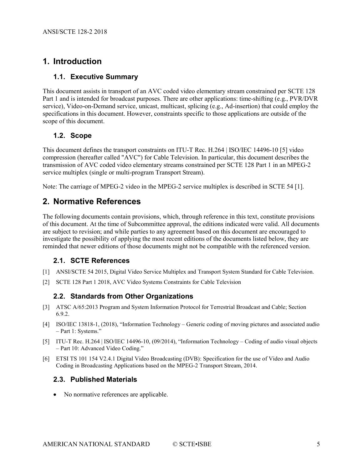## <span id="page-4-0"></span>**1. Introduction**

#### <span id="page-4-1"></span>**1.1. Executive Summary**

This document assists in transport of an AVC coded video elementary stream constrained per SCTE 128 Part 1 and is intended for broadcast purposes. There are other applications: time-shifting (e.g., PVR/DVR service), Video-on-Demand service, unicast, multicast, splicing (e.g., Ad-insertion) that could employ the specifications in this document. However, constraints specific to those applications are outside of the scope of this document.

#### <span id="page-4-2"></span>**1.2. Scope**

This document defines the transport constraints on ITU-T Rec. H.264 | ISO/IEC 14496-10 [\[5\]](#page-4-7) video compression (hereafter called "AVC") for Cable Television. In particular, this document describes the transmission of AVC coded video elementary streams constrained per SCTE 128 Part 1 in an MPEG-2 service multiplex (single or multi-program Transport Stream).

<span id="page-4-3"></span>Note: The carriage of MPEG-2 video in the MPEG-2 service multiplex is described in SCTE 54 [\[1\].](#page-4-8)

### **2. Normative References**

The following documents contain provisions, which, through reference in this text, constitute provisions of this document. At the time of Subcommittee approval, the editions indicated were valid. All documents are subject to revision; and while parties to any agreement based on this document are encouraged to investigate the possibility of applying the most recent editions of the documents listed below, they are reminded that newer editions of those documents might not be compatible with the referenced version.

#### <span id="page-4-4"></span>**2.1. SCTE References**

- <span id="page-4-8"></span>[1] ANSI/SCTE 54 2015, Digital Video Service Multiplex and Transport System Standard for Cable Television.
- <span id="page-4-5"></span>[2] SCTE 128 Part 1 2018, AVC Video Systems Constraints for Cable Television

#### **2.2. Standards from Other Organizations**

- <span id="page-4-10"></span>[3] ATSC A/65:2013 Program and System Information Protocol for Terrestrial Broadcast and Cable; Section 6.9.2.
- <span id="page-4-9"></span>[4] ISO/IEC 13818-1, (2018), "Information Technology – Generic coding of moving pictures and associated audio – Part 1: Systems."
- <span id="page-4-7"></span>[5] ITU-T Rec. H.264 | ISO/IEC 14496-10, (09/2014), "Information Technology – Coding of audio visual objects – Part 10: Advanced Video Coding."
- <span id="page-4-11"></span>[6] ETSI TS 101 154 V2.4.1 Digital Video Broadcasting (DVB): Specification for the use of Video and Audio Coding in Broadcasting Applications based on the MPEG-2 Transport Stream, 2014.

#### <span id="page-4-6"></span>**2.3. Published Materials**

• No normative references are applicable.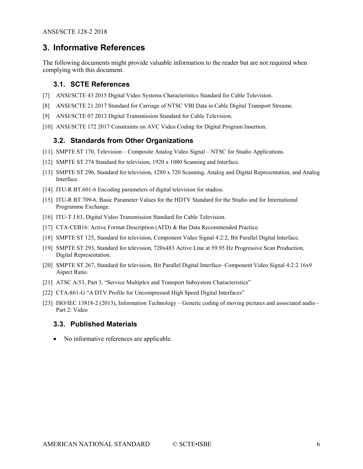#### <span id="page-5-0"></span>**3. Informative References**

<span id="page-5-1"></span>The following documents might provide valuable information to the reader but are not required when complying with this document.

#### **3.1. SCTE References**

- [7] ANSI/SCTE 43 2015 Digital Video Systems Characteristics Standard for Cable Television.
- [8] ANSI/SCTE 21 2017 Standard for Carriage of NTSC VBI Data in Cable Digital Transport Streams.
- [9] ANSI/SCTE 07 2013 Digital Transmission Standard for Cable Television.
- <span id="page-5-2"></span>[10] ANSI/SCTE 172 2017 Constraints on AVC Video Coding for Digital Program Insertion.

#### **3.2. Standards from Other Organizations**

- [11] SMPTE ST 170, Television Composite Analog Video Signal NTSC for Studio Applications.
- [12] SMPTE ST 274 Standard for television, 1920 x 1080 Scanning and Interface.
- [13] SMPTE ST 296, Standard for television, 1280 x 720 Scanning, Analog and Digital Representation, and Analog Interface*.*
- [14] ITU-R BT.601-6 Encoding parameters of digital television for studios.
- [15] ITU-R BT.709-6, Basic Parameter Values for the HDTV Standard for the Studio and for International Programme Exchange.
- [16] ITU-T J.83, Digital Video Transmission Standard for Cable Television.
- [17] CTA-CEB16: Active Format Description (AFD) & Bar Data Recommended Practice.
- [18] SMPTE ST 125, Standard for television, Component Video Signal 4:2:2, Bit Parallel Digital Interface.
- [19] SMPTE ST 293, Standard for television, 720x483 Active Line at 59.95 Hz Progressive Scan Production, Digital Representation.
- [20] SMPTE ST 267, Standard for television, Bit Parallel Digital Interface- Component Video Signal 4:2:2 16x9 Aspect Ratio.
- [21] ATSC A/53, Part 3, "Service Multiplex and Transport Subsystem Characteristics"
- [22] CTA-861-G "A DTV Profile for Uncompressed High Speed Digital Interfaces"
- <span id="page-5-4"></span>[23] ISO/IEC 13818-2 (2013), Information Technology – Generic coding of moving pictures and associated audio - Part 2: Video

#### <span id="page-5-3"></span>**3.3. Published Materials**

• No informative references are applicable.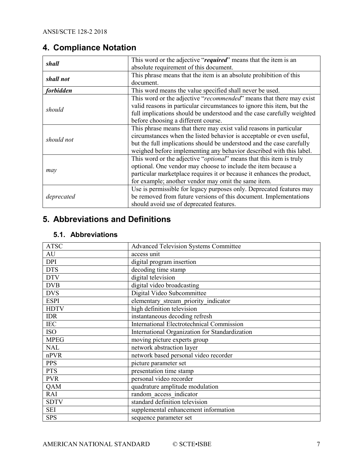## <span id="page-6-0"></span>**4. Compliance Notation**

| shall            | This word or the adjective "required" means that the item is an              |
|------------------|------------------------------------------------------------------------------|
|                  | absolute requirement of this document.                                       |
| shall not        | This phrase means that the item is an absolute prohibition of this           |
|                  | document.                                                                    |
| <i>forbidden</i> | This word means the value specified shall never be used.                     |
|                  | This word or the adjective "recommended" means that there may exist          |
| should           | valid reasons in particular circumstances to ignore this item, but the       |
|                  | full implications should be understood and the case carefully weighted       |
|                  | before choosing a different course.                                          |
|                  | This phrase means that there may exist valid reasons in particular           |
| should not       | circumstances when the listed behavior is acceptable or even useful,         |
|                  | but the full implications should be understood and the case carefully        |
|                  | weighed before implementing any behavior described with this label.          |
|                  | This word or the adjective " <i>optional</i> " means that this item is truly |
|                  | optional. One vendor may choose to include the item because a                |
| may              | particular marketplace requires it or because it enhances the product,       |
|                  | for example; another vendor may omit the same item.                          |
|                  | Use is permissible for legacy purposes only. Deprecated features may         |
| deprecated       | be removed from future versions of this document. Implementations            |
|                  | should avoid use of deprecated features.                                     |

## <span id="page-6-1"></span>**5. Abbreviations and Definitions**

#### <span id="page-6-2"></span>**5.1. Abbreviations**

| <b>ATSC</b> | <b>Advanced Television Systems Committee</b>     |
|-------------|--------------------------------------------------|
| AU          | access unit                                      |
| <b>DPI</b>  | digital program insertion                        |
| <b>DTS</b>  | decoding time stamp                              |
| <b>DTV</b>  | digital television                               |
| <b>DVB</b>  | digital video broadcasting                       |
| <b>DVS</b>  | Digital Video Subcommittee                       |
| <b>ESPI</b> | elementary stream priority indicator             |
| <b>HDTV</b> | high definition television                       |
| <b>IDR</b>  | instantaneous decoding refresh                   |
| <b>IEC</b>  | <b>International Electrotechnical Commission</b> |
| <b>ISO</b>  | International Organization for Standardization   |
| <b>MPEG</b> | moving picture experts group                     |
| <b>NAL</b>  | network abstraction layer                        |
| nPVR        | network based personal video recorder            |
| <b>PPS</b>  | picture parameter set                            |
| <b>PTS</b>  | presentation time stamp                          |
| <b>PVR</b>  | personal video recorder                          |
| QAM         | quadrature amplitude modulation                  |
| RAI         | random access indicator                          |
| <b>SDTV</b> | standard definition television                   |
| <b>SEI</b>  | supplemental enhancement information             |
| <b>SPS</b>  | sequence parameter set                           |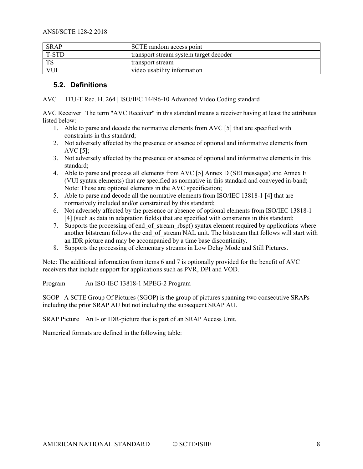| <b>SRAP</b> | SCTE random access point               |
|-------------|----------------------------------------|
| T-STD       | transport stream system target decoder |
| <b>TS</b>   | transport stream                       |
| <b>VUI</b>  | video usability information            |

#### <span id="page-7-0"></span>**5.2. Definitions**

AVC ITU-T Rec. H. 264 | ISO/IEC 14496-10 Advanced Video Coding standard

AVC Receiver The term "AVC Receiver" in this standard means a receiver having at least the attributes listed below:

- 1. Able to parse and decode the normative elements from AVC [5] that are specified with constraints in this standard;
- 2. Not adversely affected by the presence or absence of optional and informative elements from AVC [5];
- 3. Not adversely affected by the presence or absence of optional and informative elements in this standard;
- 4. Able to parse and process all elements from AVC [5] Annex D (SEI messages) and Annex E (VUI syntax elements) that are specified as normative in this standard and conveyed in-band; Note: These are optional elements in the AVC specification;
- 5. Able to parse and decode all the normative elements from ISO/IEC 13818-1 [4] that are normatively included and/or constrained by this standard;
- 6. Not adversely affected by the presence or absence of optional elements from ISO/IEC 13818-1 [4] (such as data in adaptation fields) that are specified with constraints in this standard;
- 7. Supports the processing of end of stream rbsp() syntax element required by applications where another bitstream follows the end  $\overline{0}$  of stream NAL unit. The bitstream that follows will start with an IDR picture and may be accompanied by a time base discontinuity.
- 8. Supports the processing of elementary streams in Low Delay Mode and Still Pictures.

Note: The additional information from items 6 and 7 is optionally provided for the benefit of AVC receivers that include support for applications such as PVR, DPI and VOD.

Program An ISO-IEC 13818-1 MPEG-2 Program

SGOP A SCTE Group Of Pictures (SGOP) is the group of pictures spanning two consecutive SRAPs including the prior SRAP AU but not including the subsequent SRAP AU.

SRAP Picture An I- or IDR-picture that is part of an SRAP Access Unit.

Numerical formats are defined in the following table: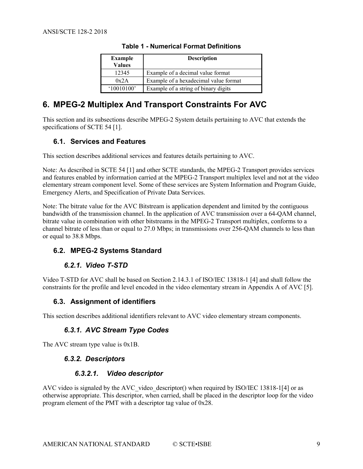| <b>Example</b><br><b>Values</b> | <b>Description</b>                    |
|---------------------------------|---------------------------------------|
| 12345                           | Example of a decimal value format     |
| 0x2A                            | Example of a hexadecimal value format |
| (10010100)                      | Example of a string of binary digits  |

#### **Table 1 - Numerical Format Definitions**

## <span id="page-8-7"></span><span id="page-8-0"></span>**6. MPEG-2 Multiplex And Transport Constraints For AVC**

This section and its subsections describe MPEG-2 System details pertaining to AVC that extends the specifications of SCTE 54 [\[1\].](#page-4-8)

#### <span id="page-8-1"></span>**6.1. Services and Features**

This section describes additional services and features details pertaining to AVC.

Note: As described in SCTE 54 [\[1\]](#page-4-8) and other SCTE standards, the MPEG-2 Transport provides services and features enabled by information carried at the MPEG-2 Transport multiplex level and not at the video elementary stream component level. Some of these services are System Information and Program Guide, Emergency Alerts, and Specification of Private Data Services.

Note: The bitrate value for the AVC Bitstream is application dependent and limited by the contiguous bandwidth of the transmission channel. In the application of AVC transmission over a 64-QAM channel, bitrate value in combination with other bitstreams in the MPEG-2 Transport multiplex, conforms to a channel bitrate of less than or equal to 27.0 Mbps; in transmissions over 256-QAM channels to less than or equal to 38.8 Mbps.

#### <span id="page-8-3"></span><span id="page-8-2"></span>**6.2. MPEG-2 Systems Standard**

#### *6.2.1. Video T-STD*

Video T-STD for AVC shall be based on Section 2.14.3.1 of ISO/IEC 13818-1 [\[4\]](#page-4-9) and shall follow the constraints for the profile and level encoded in the video elementary stream in Appendix A of AVC [\[5\].](#page-4-7)

#### <span id="page-8-4"></span>**6.3. Assignment of identifiers**

<span id="page-8-5"></span>This section describes additional identifiers relevant to AVC video elementary stream components.

#### *6.3.1. AVC Stream Type Codes*

<span id="page-8-6"></span>The AVC stream type value is 0x1B.

#### *6.3.2. Descriptors*

#### *6.3.2.1. Video descriptor*

AVC video is signaled by the AVC\_video\_descriptor() when required by ISO/IEC 13818-[1\[4\]](#page-4-9) or as otherwise appropriate. This descriptor, when carried, shall be placed in the descriptor loop for the video program element of the PMT with a descriptor tag value of 0x28.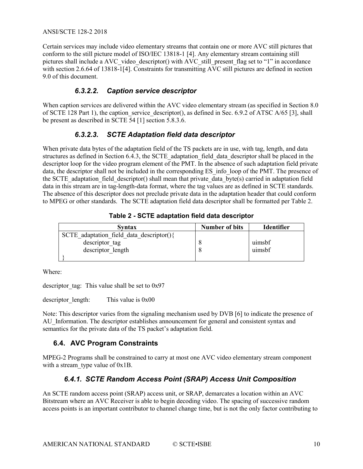Certain services may include video elementary streams that contain one or more AVC still pictures that conform to the still picture model of ISO/IEC 13818-1 [\[4\].](#page-4-9) Any elementary stream containing still pictures shall include a AVC video descriptor() with AVC still present flag set to "1" in accordance with section 2.6.64 of 13818-[1\[4\].](#page-4-9) Constraints for transmitting  $\overrightarrow{AVC}$  still pictures are defined in section 9.0 of this document.

#### *6.3.2.2. Caption service descriptor*

When caption services are delivered within the AVC video elementary stream (as specified in Section 8.0 of SCTE 128 Part 1), the caption service descriptor(), as defined in Sec. 6.9.2 of ATSC  $A/65$  [\[3\],](#page-4-10) shall be present as described in SCTE 54 [\[1\]](#page-4-8) section 5.8.3.6.

#### *6.3.2.3. SCTE Adaptation field data descriptor*

When private data bytes of the adaptation field of the TS packets are in use, with tag, length, and data structures as defined in Section 6.4.3, the SCTE\_adaptation\_field\_data\_descriptor shall be placed in the descriptor loop for the video program element of the PMT. In the absence of such adaptation field private data, the descriptor shall not be included in the corresponding ES info loop of the PMT. The presence of the SCTE\_adaptation\_field\_descriptor() shall mean that private\_data\_byte(s) carried in adaptation field data in this stream are in tag-length-data format, where the tag values are as defined in SCTE standards. The absence of this descriptor does not preclude private data in the adaptation header that could conform to MPEG or other standards. The SCTE adaptation field data descriptor shall be formatted per [Table 2.](#page-9-2)

<span id="page-9-2"></span>

| <b>Syntax</b>                            | <b>Number of bits</b> | <b>Identifier</b> |
|------------------------------------------|-----------------------|-------------------|
| SCTE adaptation field data descriptor(){ |                       |                   |
| descriptor tag                           |                       | uimsbf            |
| descriptor length                        |                       | uimsbf            |
|                                          |                       |                   |

Where:

descriptor tag: This value shall be set to  $0x97$ 

descriptor length: This value is 0x00

Note: This descriptor varies from the signaling mechanism used by DVB [\[6\]](#page-4-11) to indicate the presence of AU\_Information. The descriptor establishes announcement for general and consistent syntax and semantics for the private data of the TS packet's adaptation field.

#### <span id="page-9-0"></span>**6.4. AVC Program Constraints**

<span id="page-9-1"></span>MPEG-2 Programs shall be constrained to carry at most one AVC video elementary stream component with a stream type value of 0x1B.

#### *6.4.1. SCTE Random Access Point (SRAP) Access Unit Composition*

An SCTE random access point (SRAP) access unit, or SRAP, demarcates a location within an AVC Bitstream where an AVC Receiver is able to begin decoding video. The spacing of successive random access points is an important contributor to channel change time, but is not the only factor contributing to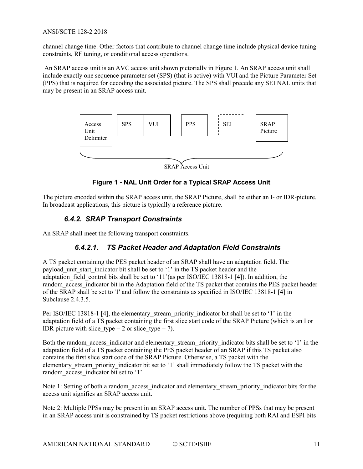channel change time. Other factors that contribute to channel change time include physical device tuning constraints, RF tuning, or conditional access operations.

An SRAP access unit is an AVC access unit shown pictorially i[n Figure 1.](#page-10-1) An SRAP access unit shall include exactly one sequence parameter set (SPS) (that is active) with VUI and the Picture Parameter Set (PPS) that is required for decoding the associated picture. The SPS shall precede any SEI NAL units that may be present in an SRAP access unit.



**Figure 1 - NAL Unit Order for a Typical SRAP Access Unit**

<span id="page-10-1"></span><span id="page-10-0"></span>The picture encoded within the SRAP access unit, the SRAP Picture, shall be either an I- or IDR-picture. In broadcast applications, this picture is typically a reference picture.

#### *6.4.2. SRAP Transport Constraints*

An SRAP shall meet the following transport constraints.

#### *6.4.2.1. TS Packet Header and Adaptation Field Constraints*

A TS packet containing the PES packet header of an SRAP shall have an adaptation field. The payload unit start indicator bit shall be set to '1' in the TS packet header and the adaptation field control bits shall be set to '11'(as per ISO/IEC 13818-1 [\[4\]\)](#page-4-9). In addition, the random access indicator bit in the Adaptation field of the TS packet that contains the PES packet header of the SRAP shall be set to '1' and follow the constraints as specified in ISO/IEC 13818-1 [\[4\]](#page-4-9) in Subclause 2.4.3.5.

Per ISO/IEC 13818-1 [\[4\],](#page-4-9) the elementary stream priority indicator bit shall be set to '1' in the adaptation field of a TS packet containing the first slice start code of the SRAP Picture (which is an I or IDR picture with slice type = 2 or slice type = 7).

Both the random access indicator and elementary stream priority indicator bits shall be set to '1' in the adaptation field of a TS packet containing the PES packet header of an SRAP if this TS packet also contains the first slice start code of the SRAP Picture. Otherwise, a TS packet with the elementary stream priority indicator bit set to '1' shall immediately follow the TS packet with the random access indicator bit set to '1'.

Note 1: Setting of both a random\_access\_indicator and elementary\_stream\_priority\_indicator bits for the access unit signifies an SRAP access unit.

Note 2: Multiple PPSs may be present in an SRAP access unit. The number of PPSs that may be present in an SRAP access unit is constrained by TS packet restrictions above (requiring both RAI and ESPI bits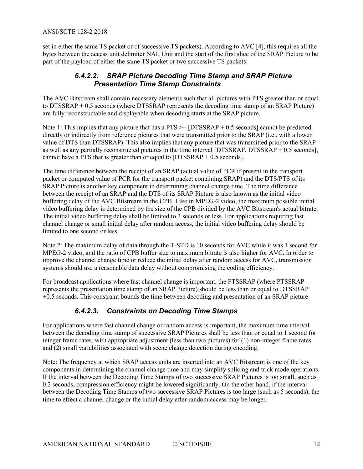set in either the same TS packet or of successive TS packets). According to AVC [\[4\],](#page-4-9) this requires all the bytes between the access unit delimiter NAL Unit and the start of the first slice of the SRAP Picture to be part of the payload of either the same TS packet or two successive TS packets.

#### *6.4.2.2. SRAP Picture Decoding Time Stamp and SRAP Picture Presentation Time Stamp Constraints*

The AVC Bitstream shall contain necessary elements such that all pictures with PTS greater than or equal to DTSSRAP + 0.5 seconds (where DTSSRAP represents the decoding time stamp of an SRAP Picture) are fully reconstructable and displayable when decoding starts at the SRAP picture.

Note 1: This implies that any picture that has a  $PTS \geq [DTSSRAP + 0.5$  seconds] cannot be predicted directly or indirectly from reference pictures that were transmitted prior to the SRAP (i.e., with a lower value of DTS than DTSSRAP). This also implies that any picture that was transmitted prior to the SRAP as well as any partially reconstructed pictures in the time interval [DTSSRAP, DTSSRAP + 0.5 seconds], cannot have a PTS that is greater than or equal to  $[DTSSRAP + 0.5$  seconds].

The time difference between the receipt of an SRAP (actual value of PCR if present in the transport packet or computed value of PCR for the transport packet containing SRAP) and the DTS/PTS of its SRAP Picture is another key component in determining channel change time. The time difference between the receipt of an SRAP and the DTS of its SRAP Picture is also known as the initial video buffering delay of the AVC Bitstream in the CPB. Like in MPEG-2 video, the maximum possible initial video buffering delay is determined by the size of the CPB divided by the AVC Bitstream's actual bitrate. The initial video buffering delay shall be limited to 3 seconds or less. For applications requiring fast channel change or small initial delay after random access, the initial video buffering delay should be limited to one second or less.

Note 2: The maximum delay of data through the T-STD is 10 seconds for AVC while it was 1 second for MPEG-2 video, and the ratio of CPB buffer size to maximum bitrate is also higher for AVC. In order to improve the channel change time or reduce the initial delay after random access for AVC, transmission systems should use a reasonable data delay without compromising the coding efficiency.

For broadcast applications where fast channel change is important, the PTSSRAP (where PTSSRAP represents the presentation time stamp of an SRAP Picture) should be less than or equal to DTSSRAP +0.5 seconds. This constraint bounds the time between decoding and presentation of an SRAP picture

#### *6.4.2.3. Constraints on Decoding Time Stamps*

For applications where fast channel change or random access is important, the maximum time interval between the decoding time stamp of successive SRAP Pictures shall be less than or equal to 1 second for integer frame rates, with appropriate adjustment (less than two pictures) for (1) non-integer frame rates and (2) small variabilities associated with scene change detection during encoding.

Note: The frequency at which SRAP access units are inserted into an AVC Bitstream is one of the key components in determining the channel change time and may simplify splicing and trick mode operations. If the interval between the Decoding Time Stamps of two successive SRAP Pictures is too small, such as 0.2 seconds, compression efficiency might be lowered significantly. On the other hand, if the interval between the Decoding Time Stamps of two successive SRAP Pictures is too large (such as 5 seconds), the time to effect a channel change or the initial delay after random access may be longer.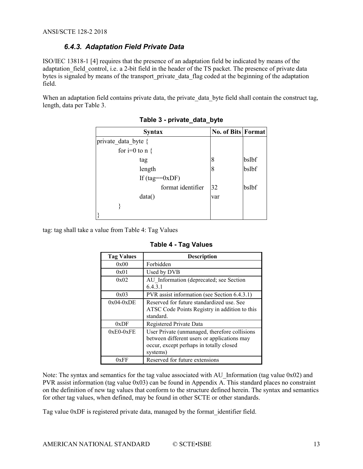#### *6.4.3. Adaptation Field Private Data*

<span id="page-12-0"></span>ISO/IEC 13818-1 [\[4\]](#page-4-9) requires that the presence of an adaptation field be indicated by means of the adaptation field control, i.e. a 2-bit field in the header of the TS packet. The presence of private data bytes is signaled by means of the transport private data flag coded at the beginning of the adaptation field.

<span id="page-12-1"></span>When an adaptation field contains private data, the private data byte field shall contain the construct tag, length, data per [Table 3.](#page-12-1)

| <b>Syntax</b>       | <b>No. of Bits Format</b> |       |
|---------------------|---------------------------|-------|
| private data byte { |                           |       |
| for $i=0$ to $n \{$ |                           |       |
| tag                 | 8                         | bslbf |
| length              | 8                         | bslbf |
| If $(tag = 0xDF)$   |                           |       |
| format identifier   | 32                        | bslbf |
| data()              | var                       |       |
|                     |                           |       |
|                     |                           |       |

**Table 3 - private\_data\_byte**

<span id="page-12-2"></span>tag: tag shall take a value from [Table 4:](#page-12-2) Tag Values

| <b>Tag Values</b> | <b>Description</b>                                                                                                                                  |
|-------------------|-----------------------------------------------------------------------------------------------------------------------------------------------------|
| 0x00              | Forbidden                                                                                                                                           |
| 0x01              | Used by DVB                                                                                                                                         |
| 0x02              | AU Information (deprecated; see Section<br>6.4.3.1                                                                                                  |
| 0x03              | PVR assist information (see Section 6.4.3.1)                                                                                                        |
| $0x04-0xDE$       | Reserved for future standardized use. See<br>ATSC Code Points Registry in addition to this<br>standard.                                             |
| 0xDF              | Registered Private Data                                                                                                                             |
| $0xE0-0xFE$       | User Private (unmanaged, therefore collisions<br>between different users or applications may<br>occur, except perhaps in totally closed<br>systems) |
| OxFF              | Reserved for future extensions                                                                                                                      |

**Table 4 - Tag Values**

Note: The syntax and semantics for the tag value associated with AU Information (tag value  $0x02$ ) and PVR assist information (tag value 0x03) can be found in Appendix A. This standard places no constraint on the definition of new tag values that conform to the structure defined herein. The syntax and semantics for other tag values, when defined, may be found in other SCTE or other standards.

Tag value 0xDF is registered private data, managed by the format\_identifier field.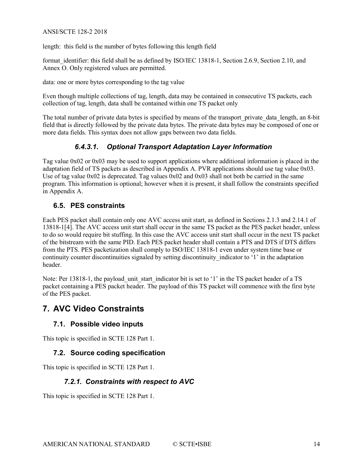length: this field is the number of bytes following this length field

format identifier: this field shall be as defined by ISO/IEC 13818-1, Section 2.6.9, Section 2.10, and Annex O. Only registered values are permitted.

data: one or more bytes corresponding to the tag value

Even though multiple collections of tag, length, data may be contained in consecutive TS packets, each collection of tag, length, data shall be contained within one TS packet only

The total number of private data bytes is specified by means of the transport private data length, an 8-bit field that is directly followed by the private data bytes. The private data bytes may be composed of one or more data fields. This syntax does not allow gaps between two data fields.

#### *6.4.3.1. Optional Transport Adaptation Layer Information*

Tag value 0x02 or 0x03 may be used to support applications where additional information is placed in the adaptation field of TS packets as described in Appendix A. PVR applications should use tag value 0x03. Use of tag value  $0x02$  is deprecated. Tag values  $0x02$  and  $0x03$  shall not both be carried in the same program. This information is optional; however when it is present, it shall follow the constraints specified in Appendix A.

#### <span id="page-13-0"></span>**6.5. PES constraints**

Each PES packet shall contain only one AVC access unit start, as defined in Sections 2.1.3 and 2.14.1 of 13818-[1\[4\].](#page-4-9) The AVC access unit start shall occur in the same TS packet as the PES packet header, unless to do so would require bit stuffing. In this case the AVC access unit start shall occur in the next TS packet of the bitstream with the same PID. Each PES packet header shall contain a PTS and DTS if DTS differs from the PTS. PES packetization shall comply to ISO/IEC 13818-1 even under system time base or continuity counter discontinuities signaled by setting discontinuity indicator to '1' in the adaptation header.

Note: Per 13818-1, the payload unit start indicator bit is set to '1' in the TS packet header of a TS packet containing a PES packet header. The payload of this TS packet will commence with the first byte of the PES packet.

#### <span id="page-13-2"></span><span id="page-13-1"></span>**7. AVC Video Constraints**

#### **7.1. Possible video inputs**

<span id="page-13-3"></span>This topic is specified in SCTE 128 Part 1.

#### **7.2. Source coding specification**

<span id="page-13-4"></span>This topic is specified in SCTE 128 Part 1.

#### *7.2.1. Constraints with respect to AVC*

This topic is specified in SCTE 128 Part 1.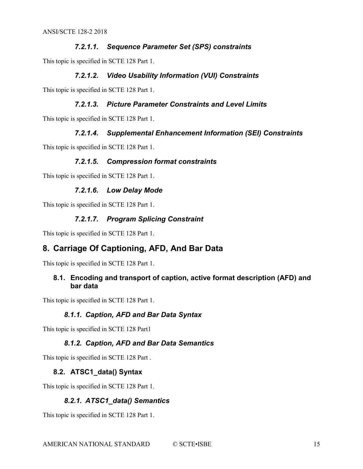#### *7.2.1.1. Sequence Parameter Set (SPS) constraints*

This topic is specified in SCTE 128 Part 1.

#### *7.2.1.2. Video Usability Information (VUI) Constraints*

This topic is specified in SCTE 128 Part 1.

#### *7.2.1.3. Picture Parameter Constraints and Level Limits*

This topic is specified in SCTE 128 Part 1.

#### *7.2.1.4. Supplemental Enhancement Information (SEI) Constraints*

This topic is specified in SCTE 128 Part 1.

#### *7.2.1.5. Compression format constraints*

This topic is specified in SCTE 128 Part 1.

#### *7.2.1.6. Low Delay Mode*

This topic is specified in SCTE 128 Part 1.

#### *7.2.1.7. Program Splicing Constraint*

<span id="page-14-0"></span>This topic is specified in SCTE 128 Part 1.

#### **8. Carriage Of Captioning, AFD, And Bar Data**

<span id="page-14-1"></span>This topic is specified in SCTE 128 Part 1.

#### **8.1. Encoding and transport of caption, active format description (AFD) and bar data**

<span id="page-14-2"></span>This topic is specified in SCTE 128 Part 1.

#### *8.1.1. Caption, AFD and Bar Data Syntax*

<span id="page-14-3"></span>This topic is specified in SCTE 128 Part1

#### *8.1.2. Caption, AFD and Bar Data Semantics*

<span id="page-14-4"></span>This topic is specified in SCTE 128 Part .

#### **8.2. ATSC1\_data() Syntax**

<span id="page-14-5"></span>This topic is specified in SCTE 128 Part 1.

#### *8.2.1. ATSC1\_data() Semantics*

This topic is specified in SCTE 128 Part 1.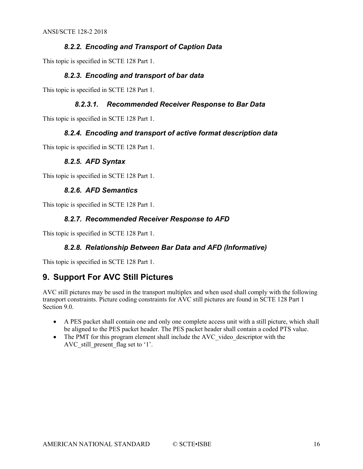#### *8.2.2. Encoding and Transport of Caption Data*

<span id="page-15-1"></span><span id="page-15-0"></span>This topic is specified in SCTE 128 Part 1.

#### *8.2.3. Encoding and transport of bar data*

This topic is specified in SCTE 128 Part 1.

#### *8.2.3.1. Recommended Receiver Response to Bar Data*

<span id="page-15-2"></span>This topic is specified in SCTE 128 Part 1.

#### *8.2.4. Encoding and transport of active format description data*

<span id="page-15-3"></span>This topic is specified in SCTE 128 Part 1.

#### *8.2.5. AFD Syntax*

<span id="page-15-4"></span>This topic is specified in SCTE 128 Part 1.

#### *8.2.6. AFD Semantics*

<span id="page-15-5"></span>This topic is specified in SCTE 128 Part 1.

#### *8.2.7. Recommended Receiver Response to AFD*

<span id="page-15-6"></span>This topic is specified in SCTE 128 Part 1.

#### *8.2.8. Relationship Between Bar Data and AFD (Informative)*

<span id="page-15-7"></span>This topic is specified in SCTE 128 Part 1.

#### **9. Support For AVC Still Pictures**

AVC still pictures may be used in the transport multiplex and when used shall comply with the following transport constraints. Picture coding constraints for AVC still pictures are found in SCTE 128 Part 1 Section 9.0.

- A PES packet shall contain one and only one complete access unit with a still picture, which shall be aligned to the PES packet header. The PES packet header shall contain a coded PTS value.
- The PMT for this program element shall include the AVC video descriptor with the AVC still present flag set to '1'.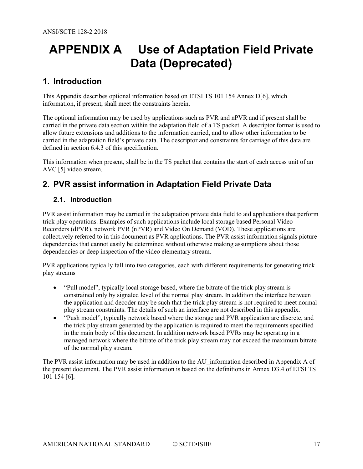# <span id="page-16-0"></span>**APPENDIX A Use of Adaptation Field Private Data (Deprecated)**

## <span id="page-16-1"></span>**1. Introduction**

This Appendix describes optional information based on ETSI TS 101 154 Annex [D\[6\],](#page-4-11) which information, if present, shall meet the constraints herein.

The optional information may be used by applications such as PVR and nPVR and if present shall be carried in the private data section within the adaptation field of a TS packet. A descriptor format is used to allow future extensions and additions to the information carried, and to allow other information to be carried in the adaptation field's private data. The descriptor and constraints for carriage of this data are defined in section 6.4.3 of this specification.

This information when present, shall be in the TS packet that contains the start of each access unit of an AVC [5] video stream.

## <span id="page-16-2"></span>**2. PVR assist information in Adaptation Field Private Data**

#### <span id="page-16-3"></span>**2.1. Introduction**

PVR assist information may be carried in the adaptation private data field to aid applications that perform trick play operations. Examples of such applications include local storage based Personal Video Recorders (dPVR), network PVR (nPVR) and Video On Demand (VOD). These applications are collectively referred to in this document as PVR applications. The PVR assist information signals picture dependencies that cannot easily be determined without otherwise making assumptions about those dependencies or deep inspection of the video elementary stream.

PVR applications typically fall into two categories, each with different requirements for generating trick play streams

- "Pull model", typically local storage based, where the bitrate of the trick play stream is constrained only by signaled level of the normal play stream. In addition the interface between the application and decoder may be such that the trick play stream is not required to meet normal play stream constraints. The details of such an interface are not described in this appendix.
- "Push model", typically network based where the storage and PVR application are discrete, and the trick play stream generated by the application is required to meet the requirements specified in the main body of this document. In addition network based PVRs may be operating in a managed network where the bitrate of the trick play stream may not exceed the maximum bitrate of the normal play stream.

The PVR assist information may be used in addition to the AU\_information described in Appendix A of the present document. The PVR assist information is based on the definitions in Annex D3.4 of ETSI TS 101 154 [\[6\].](#page-4-11)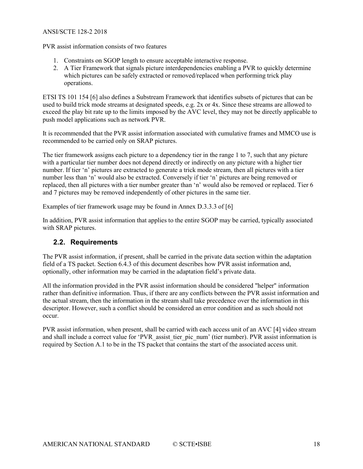PVR assist information consists of two features

- 1. Constraints on SGOP length to ensure acceptable interactive response.
- 2. A Tier Framework that signals picture interdependencies enabling a PVR to quickly determine which pictures can be safely extracted or removed/replaced when performing trick play operations.

ETSI TS 101 154 [\[6\]](#page-4-11) also defines a Substream Framework that identifies subsets of pictures that can be used to build trick mode streams at designated speeds, e.g. 2x or 4x. Since these streams are allowed to exceed the play bit rate up to the limits imposed by the AVC level, they may not be directly applicable to push model applications such as network PVR.

It is recommended that the PVR assist information associated with cumulative frames and MMCO use is recommended to be carried only on SRAP pictures.

The tier framework assigns each picture to a dependency tier in the range 1 to 7, such that any picture with a particular tier number does not depend directly or indirectly on any picture with a higher tier number. If tier 'n' pictures are extracted to generate a trick mode stream, then all pictures with a tier number less than 'n' would also be extracted. Conversely if tier 'n' pictures are being removed or replaced, then all pictures with a tier number greater than 'n' would also be removed or replaced. Tier 6 and 7 pictures may be removed independently of other pictures in the same tier.

Examples of tier framework usage may be found in Annex D.3.3.3 of [\[6\]](#page-4-11)

In addition, PVR assist information that applies to the entire SGOP may be carried, typically associated with SRAP pictures.

#### <span id="page-17-0"></span>**2.2. Requirements**

The PVR assist information, if present, shall be carried in the private data section within the adaptation field of a TS packet. Section 6.4.3 of this document describes how PVR assist information and, optionally, other information may be carried in the adaptation field's private data.

All the information provided in the PVR assist information should be considered "helper" information rather than definitive information. Thus, if there are any conflicts between the PVR assist information and the actual stream, then the information in the stream shall take precedence over the information in this descriptor. However, such a conflict should be considered an error condition and as such should not occur.

PVR assist information, when present, shall be carried with each access unit of an AVC [\[4\]](#page-4-9) video stream and shall include a correct value for 'PVR assist tier pic\_num' (tier number). PVR assist information is required by Section A.1 to be in the TS packet that contains the start of the associated access unit.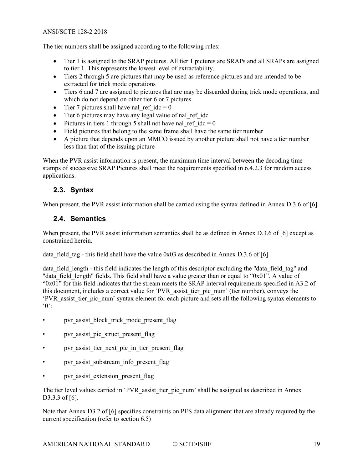The tier numbers shall be assigned according to the following rules:

- Tier 1 is assigned to the SRAP pictures. All tier 1 pictures are SRAPs and all SRAPs are assigned to tier 1. This represents the lowest level of extractability.
- Tiers 2 through 5 are pictures that may be used as reference pictures and are intended to be extracted for trick mode operations
- Tiers 6 and 7 are assigned to pictures that are may be discarded during trick mode operations, and which do not depend on other tier 6 or 7 pictures
- Tier 7 pictures shall have nal\_ref  $idc = 0$
- Tier 6 pictures may have any legal value of nal\_ref\_idc
- Pictures in tiers 1 through 5 shall not have nal\_ref\_idc = 0
- Field pictures that belong to the same frame shall have the same tier number
- A picture that depends upon an MMCO issued by another picture shall not have a tier number less than that of the issuing picture

When the PVR assist information is present, the maximum time interval between the decoding time stamps of successive SRAP Pictures shall meet the requirements specified in 6.4.2.3 for random access applications.

#### <span id="page-18-0"></span>**2.3. Syntax**

<span id="page-18-1"></span>When present, the PVR assist information shall be carried using the syntax defined in Annex D.3.6 of [\[6\].](#page-4-11)

#### **2.4. Semantics**

When present, the PVR assist information semantics shall be as defined in Annex D.3.6 of [\[6\]](#page-4-11) except as constrained herein.

data field tag - this field shall have the value  $0x03$  as described in Annex D.3.6 of [\[6\]](#page-4-11)

data field length - this field indicates the length of this descriptor excluding the "data field tag" and "data field length" fields. This field shall have a value greater than or equal to "0x01". A value of " $0x01$ " for this field indicates that the stream meets the SRAP interval requirements specified in A3.2 of this document, includes a correct value for 'PVR\_assist\_tier\_pic\_num' (tier number), conveys the 'PVR\_assist\_tier\_pic\_num' syntax element for each picture and sets all the following syntax elements to  $^{\circ}0$ 

- pvr\_assist\_block\_trick\_mode\_present\_flag
- pvr\_assist\_pic\_struct\_present\_flag
- pvr\_assist\_tier\_next\_pic\_in\_tier\_present\_flag
- pvr\_assist\_substream\_info\_present\_flag
- pvr\_assist\_extension\_present\_flag

The tier level values carried in 'PVR assist tier pic num' shall be assigned as described in Annex D3.3.3 of [\[6\].](#page-4-11)

Note that Annex D3.2 of [\[6\]](#page-4-11) specifies constraints on PES data alignment that are already required by the current specification (refer to section 6.5)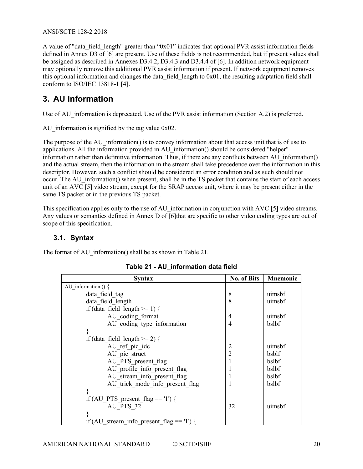A value of "data\_field\_length" greater than "0x01" indicates that optional PVR assist information fields defined in Annex D3 of [\[6\]](#page-4-11) are present. Use of these fields is not recommended, but if present values shall be assigned as described in Annexes D3.4.2, D3.4.3 and D3.4.4 of [6]. In addition network equipment may optionally remove this additional PVR assist information if present. If network equipment removes this optional information and changes the data field length to  $0x01$ , the resulting adaptation field shall conform to ISO/IEC 13818-1 [\[4\].](#page-4-9)

## <span id="page-19-0"></span>**3. AU Information**

Use of AU information is deprecated. Use of the PVR assist information (Section A.2) is preferred.

AU information is signified by the tag value 0x02.

The purpose of the AU\_information() is to convey information about that access unit that is of use to applications. All the information provided in AU\_information() should be considered "helper" information rather than definitive information. Thus, if there are any conflicts between  $AU$  information() and the actual stream, then the information in the stream shall take precedence over the information in this descriptor. However, such a conflict should be considered an error condition and as such should not occur. The AU information() when present, shall be in the TS packet that contains the start of each access unit of an AVC [5] video stream, except for the SRAP access unit, where it may be present either in the same TS packet or in the previous TS packet.

This specification applies only to the use of AU information in conjunction with AV[C \[5\]](#page-4-7) video streams. Any values or semantics defined in Annex D of [\[6\]t](#page-4-11)hat are specific to other video coding types are out of scope of this specification.

#### <span id="page-19-1"></span>**3.1. Syntax**

<span id="page-19-2"></span>The format of AU information() shall be as shown in [Table 21.](#page-19-2)

| <b>Syntax</b>                                | <b>No. of Bits</b> | <b>Mnemonic</b> |
|----------------------------------------------|--------------------|-----------------|
| AU information $() \{$                       |                    |                 |
| data field tag                               | 8                  | uimsbf          |
| data field length                            | 8                  | uimsbf          |
| if (data field length $>= 1$ ) {             |                    |                 |
| AU coding format                             | $\overline{4}$     | uimsbf          |
| AU coding type information                   | $\overline{4}$     | bslbf           |
|                                              |                    |                 |
| if (data field length $>= 2$ ) {             |                    |                 |
| AU ref pic idc                               | $\overline{2}$     | uimsbf          |
| AU pic struct                                | $\overline{2}$     | bsblf           |
| AU PTS present flag                          | 1                  | bslbf           |
| AU profile info present flag                 |                    | bslbf           |
| AU stream info present flag                  |                    | bslbf           |
| AU trick mode info present flag              |                    | bslbf           |
|                                              |                    |                 |
| if (AU PTS present flag $== '1'$ ) {         |                    |                 |
| AU PTS 32                                    | 32                 | uimsbf          |
|                                              |                    |                 |
| if (AU stream info present flag $== '1'$ ) { |                    |                 |

#### **Table 21 - AU\_information data field**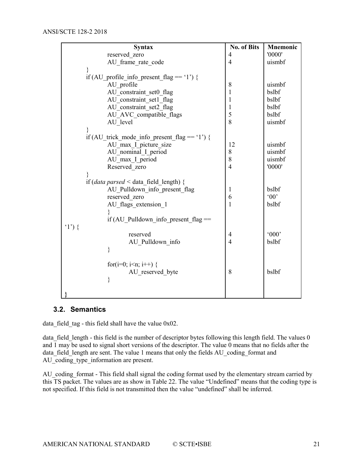| <b>Syntax</b>                                              | <b>No. of Bits</b> | <b>Mnemonic</b> |
|------------------------------------------------------------|--------------------|-----------------|
| reserved zero                                              | 4                  | '0000'          |
| AU frame rate code                                         | $\overline{4}$     | uismbf          |
| }                                                          |                    |                 |
| if (AU profile info present flag == '1') {                 |                    |                 |
| AU profile                                                 | 8                  | uismbf          |
| AU constraint set0 flag                                    | 1                  | bslbf           |
| AU constraint set1 flag                                    | 1                  | bslbf           |
| AU constraint set2 flag                                    | 1                  | bslbf           |
| AU AVC compatible flags                                    | 5                  | bslbf           |
| AU level                                                   | 8                  | uismbf          |
|                                                            |                    |                 |
| if (AU trick_mode_info_present_flag == '1') {              |                    |                 |
| AU_max_I_picture_size                                      | 12                 | uismbf          |
| AU nominal I period                                        | 8                  | uismbf          |
| AU max I period                                            | 8                  | uismbf          |
| Reserved zero                                              | $\overline{4}$     | '0000'          |
|                                                            |                    |                 |
| if ( <i>data parsed</i> < data field length) {             |                    |                 |
| AU_Pulldown_info_present_flag                              | 1                  | bslbf           |
| reserved zero                                              | 6                  | $^{\circ}00$    |
| AU flags extension 1                                       | $\mathbf{1}$       | bslbf           |
|                                                            |                    |                 |
| if (AU Pulldown info present flag $==$                     |                    |                 |
| $(1')\}$                                                   |                    |                 |
| reserved                                                   | 4                  | '000'           |
| AU Pulldown info                                           | $\overline{4}$     | bslbf           |
| ∤                                                          |                    |                 |
|                                                            |                    |                 |
| for(i=0; i <n; i++)="" td="" {<=""><td></td><td></td></n;> |                    |                 |
| AU reserved byte                                           | 8                  | bslbf           |
| }                                                          |                    |                 |
|                                                            |                    |                 |
|                                                            |                    |                 |

#### <span id="page-20-0"></span>**3.2. Semantics**

data field tag - this field shall have the value  $0x02$ .

data\_field\_length - this field is the number of descriptor bytes following this length field. The values 0 and  $\overline{1}$  may be used to signal short versions of the descriptor. The value 0 means that no fields after the data field length are sent. The value 1 means that only the fields AU coding format and AU\_coding\_type\_information are present.

AU\_coding\_format - This field shall signal the coding format used by the elementary stream carried by this TS packet. The values are as show in [Table 22.](#page-21-0) The value "Undefined" means that the coding type is not specified. If this field is not transmitted then the value "undefined" shall be inferred.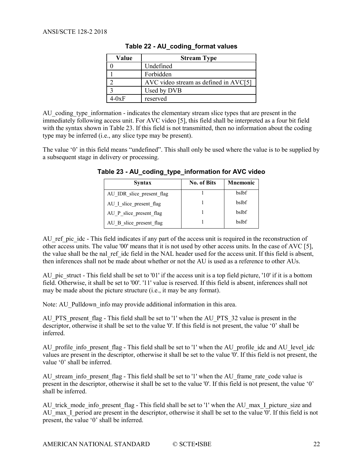<span id="page-21-0"></span>

| Value   | <b>Stream Type</b>                                      |
|---------|---------------------------------------------------------|
|         | Undefined                                               |
|         | Forbidden                                               |
|         | $\text{AVC}$ video stream as defined in $\text{AVC[5]}$ |
|         | Used by DVB                                             |
| - $0xF$ | reserved                                                |

**Table 22 - AU\_coding\_format values**

AU coding type information - indicates the elementary stream slice types that are present in the immediately following access unit. For AVC video [\[5\],](#page-4-7) this field shall be interpreted as a four bit field with the syntax shown i[n Table 23.](#page-21-1) If this field is not transmitted, then no information about the coding type may be inferred (i.e., any slice type may be present).

<span id="page-21-1"></span>The value '0' in this field means "undefined". This shall only be used where the value is to be supplied by a subsequent stage in delivery or processing.

| Syntax                    | <b>No. of Bits</b> | Mnemonic |
|---------------------------|--------------------|----------|
| AU IDR slice present flag |                    | bslbf    |
| AU I slice present flag   |                    | bslbf    |
| AU P slice present flag   |                    | bslbf    |
| AU B slice present flag   |                    | bslbf    |

**Table 23 - AU\_coding\_type\_information for AVC video**

AU ref pic idc - This field indicates if any part of the access unit is required in the reconstruction of other access units. The value '00' means that it is not used by other access units. In the case of AVC [\[5\],](#page-4-7) the value shall be the nal\_ref\_idc field in the NAL header used for the access unit. If this field is absent, then inferences shall not be made about whether or not the AU is used as a reference to other AUs.

AU pic struct - This field shall be set to '01' if the access unit is a top field picture, '10' if it is a bottom field. Otherwise, it shall be set to '00'. '11' value is reserved. If this field is absent, inferences shall not may be made about the picture structure (i.e., it may be any format).

Note: AU Pulldown info may provide additional information in this area.

AU PTS present flag - This field shall be set to '1' when the AU PTS 32 value is present in the descriptor, otherwise it shall be set to the value '0'. If this field is not present, the value '0' shall be inferred.

AU profile info present flag - This field shall be set to '1' when the AU profile idc and AU level idc values are present in the descriptor, otherwise it shall be set to the value '0'. If this field is not present, the value '0' shall be inferred.

AU stream info present flag - This field shall be set to '1' when the AU\_frame\_rate\_code value is present in the descriptor, otherwise it shall be set to the value '0'. If this field is not present, the value '0' shall be inferred.

AU trick mode info present flag - This field shall be set to '1' when the AU max I picture size and AU max I period are present in the descriptor, otherwise it shall be set to the value '0'. If this field is not present, the value '0' shall be inferred.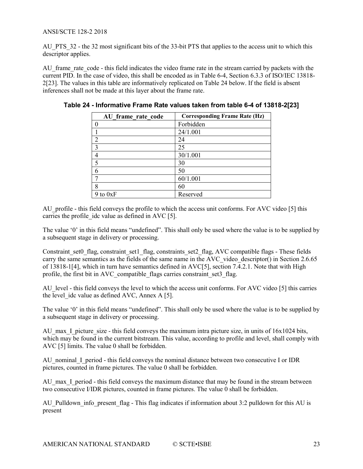AU\_PTS\_32 - the 32 most significant bits of the 33-bit PTS that applies to the access unit to which this descriptor applies.

AU frame rate code - this field indicates the video frame rate in the stream carried by packets with the current PID. In the case of video, this shall be encoded as in Table 6-4, Section 6.3.3 of ISO/IEC 13818- [2\[23\].](#page-5-4) The values in this table are informatively replicated on [Table 24](#page-22-0) below. If the field is absent inferences shall not be made at this layer about the frame rate.

| AU frame rate code | <b>Corresponding Frame Rate (Hz)</b> |
|--------------------|--------------------------------------|
| $\theta$           | Forbidden                            |
|                    | 24/1.001                             |
| $\overline{2}$     | 24                                   |
| $\overline{3}$     | 25                                   |
|                    | 30/1.001                             |
| 5                  | 30                                   |
| 6                  | 50                                   |
|                    | 60/1.001                             |
| 8                  | 60                                   |
| to 0xF             | Reserved                             |

<span id="page-22-0"></span>**Table 24 - Informative Frame Rate values taken from table 6-4 of 13818-[2\[23\]](#page-5-4)**

AU profile - this field conveys the profile to which the access unit conforms. For AVC video [\[5\]](#page-4-7) this carries the profile idc value as defined in AVC [\[5\].](#page-4-7)

The value '0' in this field means "undefined". This shall only be used where the value is to be supplied by a subsequent stage in delivery or processing.

Constraint set0 flag, constraint set1 flag, constraints set2 flag, AVC compatible flags - These fields carry the same semantics as the fields of the same name in the AVC video descriptor() in Section 2.6.65 of 13818-[1\[4\],](#page-4-9) which in turn have semantics defined in AV[C\[5\],](#page-4-7) section 7.4.2.1. Note that with High profile, the first bit in AVC compatible flags carries constraint set3 flag.

AU level - this field conveys the level to which the access unit conforms. For AVC vide[o \[5\]](#page-4-7) this carries the level idc value as defined AVC, Annex A  $[5]$ .

The value '0' in this field means "undefined". This shall only be used where the value is to be supplied by a subsequent stage in delivery or processing.

AU max I picture size - this field conveys the maximum intra picture size, in units of  $16x1024$  bits, which may be found in the current bitstream. This value, according to profile and level, shall comply with AVC [5] limits. The value 0 shall be forbidden.

AU nominal I period - this field conveys the nominal distance between two consecutive I or IDR pictures, counted in frame pictures. The value 0 shall be forbidden.

AU max I period - this field conveys the maximum distance that may be found in the stream between two consecutive I/IDR pictures, counted in frame pictures. The value  $\overline{0}$  shall be forbidden.

AU\_Pulldown\_info\_present\_flag - This flag indicates if information about 3:2 pulldown for this AU is present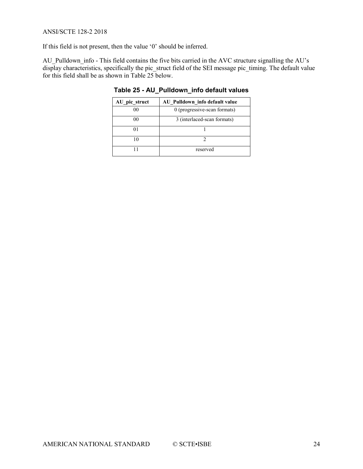If this field is not present, then the value '0' should be inferred.

<span id="page-23-0"></span>AU\_Pulldown\_info - This field contains the five bits carried in the AVC structure signalling the AU's display characteristics, specifically the pic\_struct field of the SEI message pic\_timing. The default value for this field shall be as shown in [Table 25](#page-23-0) below.

| AU_pic_struct | AU_Pulldown_info default value |
|---------------|--------------------------------|
| 00            | 0 (progressive-scan formats)   |
| 00            | 3 (interlaced-scan formats)    |
|               |                                |
| 10            |                                |
|               | reserved                       |

**Table 25 - AU\_Pulldown\_info default values**